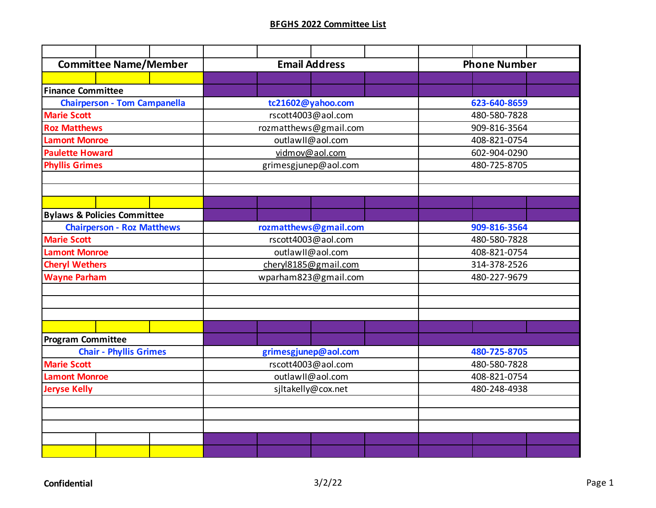| <b>Committee Name/Member</b>           | <b>Email Address</b>  | <b>Phone Number</b> |  |  |  |
|----------------------------------------|-----------------------|---------------------|--|--|--|
|                                        |                       |                     |  |  |  |
| <b>Finance Committee</b>               |                       |                     |  |  |  |
| <b>Chairperson - Tom Campanella</b>    | tc21602@yahoo.com     | 623-640-8659        |  |  |  |
| <b>Marie Scott</b>                     | rscott4003@aol.com    | 480-580-7828        |  |  |  |
| <b>Roz Matthews</b>                    | rozmatthews@gmail.com | 909-816-3564        |  |  |  |
| <b>Lamont Monroe</b>                   | outlawII@aol.com      | 408-821-0754        |  |  |  |
| <b>Paulette Howard</b>                 | vidmov@aol.com        | 602-904-0290        |  |  |  |
| <b>Phyllis Grimes</b>                  | grimesgjunep@aol.com  | 480-725-8705        |  |  |  |
|                                        |                       |                     |  |  |  |
|                                        |                       |                     |  |  |  |
|                                        |                       |                     |  |  |  |
| <b>Bylaws &amp; Policies Committee</b> |                       |                     |  |  |  |
| <b>Chairperson - Roz Matthews</b>      | rozmatthews@gmail.com | 909-816-3564        |  |  |  |
| <b>Marie Scott</b>                     | rscott4003@aol.com    | 480-580-7828        |  |  |  |
| <b>Lamont Monroe</b>                   | outlawII@aol.com      | 408-821-0754        |  |  |  |
| <b>Cheryl Wethers</b>                  | cheryl8185@gmail.com  | 314-378-2526        |  |  |  |
| <b>Wayne Parham</b>                    | wparham823@gmail.com  | 480-227-9679        |  |  |  |
|                                        |                       |                     |  |  |  |
|                                        |                       |                     |  |  |  |
|                                        |                       |                     |  |  |  |
|                                        |                       |                     |  |  |  |
| <b>Program Committee</b>               |                       |                     |  |  |  |
| <b>Chair - Phyllis Grimes</b>          | grimesgjunep@aol.com  | 480-725-8705        |  |  |  |
| <b>Marie Scott</b>                     | rscott4003@aol.com    | 480-580-7828        |  |  |  |
| <b>Lamont Monroe</b>                   | outlawII@aol.com      | 408-821-0754        |  |  |  |
| <b>Jeryse Kelly</b>                    | sjltakelly@cox.net    | 480-248-4938        |  |  |  |
|                                        |                       |                     |  |  |  |
|                                        |                       |                     |  |  |  |
|                                        |                       |                     |  |  |  |
|                                        |                       |                     |  |  |  |
|                                        |                       |                     |  |  |  |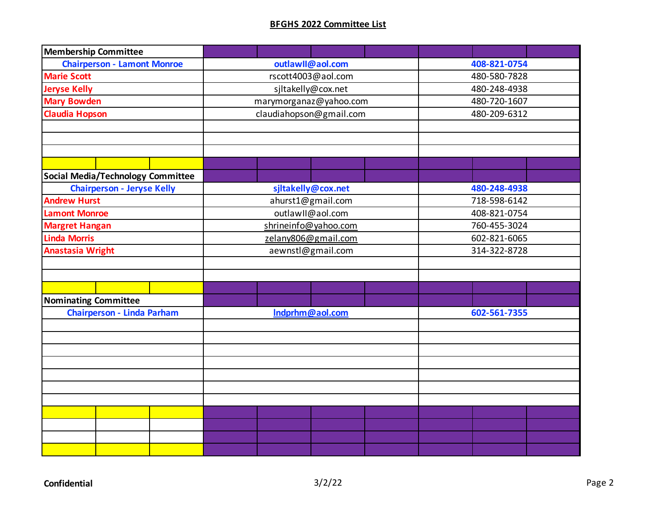| <b>Membership Committee</b>              |                         |              |  |  |
|------------------------------------------|-------------------------|--------------|--|--|
| <b>Chairperson - Lamont Monroe</b>       | outlawll@aol.com        | 408-821-0754 |  |  |
| <b>Marie Scott</b>                       | rscott4003@aol.com      | 480-580-7828 |  |  |
| <b>Jeryse Kelly</b>                      | sjltakelly@cox.net      | 480-248-4938 |  |  |
| <b>Mary Bowden</b>                       | marymorganaz@yahoo.com  | 480-720-1607 |  |  |
| <b>Claudia Hopson</b>                    | claudiahopson@gmail.com | 480-209-6312 |  |  |
|                                          |                         |              |  |  |
|                                          |                         |              |  |  |
|                                          |                         |              |  |  |
|                                          |                         |              |  |  |
| <b>Social Media/Technology Committee</b> |                         |              |  |  |
| <b>Chairperson - Jeryse Kelly</b>        | sjltakelly@cox.net      | 480-248-4938 |  |  |
| <b>Andrew Hurst</b>                      | ahurst1@gmail.com       | 718-598-6142 |  |  |
| <b>Lamont Monroe</b>                     | outlawII@aol.com        | 408-821-0754 |  |  |
| <b>Margret Hangan</b>                    | shrineinfo@yahoo.com    | 760-455-3024 |  |  |
| <b>Linda Morris</b>                      | zelany806@gmail.com     | 602-821-6065 |  |  |
| <b>Anastasia Wright</b>                  | aewnstl@gmail.com       | 314-322-8728 |  |  |
|                                          |                         |              |  |  |
|                                          |                         |              |  |  |
|                                          |                         |              |  |  |
| <b>Nominating Committee</b>              |                         |              |  |  |
| <b>Chairperson - Linda Parham</b>        | Indprhm@aol.com         | 602-561-7355 |  |  |
|                                          |                         |              |  |  |
|                                          |                         |              |  |  |
|                                          |                         |              |  |  |
|                                          |                         |              |  |  |
|                                          |                         |              |  |  |
|                                          |                         |              |  |  |
|                                          |                         |              |  |  |
|                                          |                         |              |  |  |
|                                          |                         |              |  |  |
|                                          |                         |              |  |  |
|                                          |                         |              |  |  |